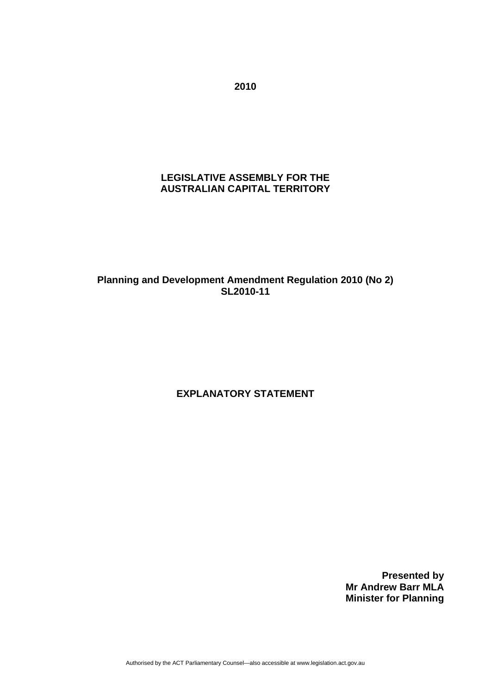**2010** 

# **LEGISLATIVE ASSEMBLY FOR THE AUSTRALIAN CAPITAL TERRITORY**

## **Planning and Development Amendment Regulation 2010 (No 2) SL2010-11**

# **EXPLANATORY STATEMENT**

**Presented by Mr Andrew Barr MLA Minister for Planning**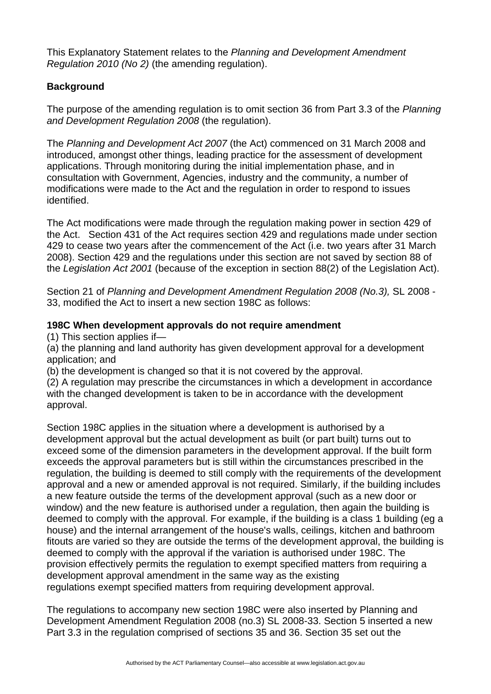This Explanatory Statement relates to the *Planning and Development Amendment Regulation 2010 (No 2)* (the amending regulation).

# **Background**

The purpose of the amending regulation is to omit section 36 from Part 3.3 of the *Planning and Development Regulation 2008* (the regulation).

The *Planning and Development Act 2007* (the Act) commenced on 31 March 2008 and introduced, amongst other things, leading practice for the assessment of development applications. Through monitoring during the initial implementation phase, and in consultation with Government, Agencies, industry and the community, a number of modifications were made to the Act and the regulation in order to respond to issues identified.

The Act modifications were made through the regulation making power in section 429 of the Act. Section 431 of the Act requires section 429 and regulations made under section 429 to cease two years after the commencement of the Act (i.e. two years after 31 March 2008). Section 429 and the regulations under this section are not saved by section 88 of the *Legislation Act 2001* (because of the exception in section 88(2) of the Legislation Act).

Section 21 of *Planning and Development Amendment Regulation 2008 (No.3),* SL 2008 - 33, modified the Act to insert a new section 198C as follows:

#### **198C When development approvals do not require amendment**

(1) This section applies if—

(a) the planning and land authority has given development approval for a development application; and

(b) the development is changed so that it is not covered by the approval.

(2) A regulation may prescribe the circumstances in which a development in accordance with the changed development is taken to be in accordance with the development approval.

Section 198C applies in the situation where a development is authorised by a development approval but the actual development as built (or part built) turns out to exceed some of the dimension parameters in the development approval. If the built form exceeds the approval parameters but is still within the circumstances prescribed in the regulation, the building is deemed to still comply with the requirements of the development approval and a new or amended approval is not required. Similarly, if the building includes a new feature outside the terms of the development approval (such as a new door or window) and the new feature is authorised under a regulation, then again the building is deemed to comply with the approval. For example, if the building is a class 1 building (eg a house) and the internal arrangement of the house's walls, ceilings, kitchen and bathroom fitouts are varied so they are outside the terms of the development approval, the building is deemed to comply with the approval if the variation is authorised under 198C. The provision effectively permits the regulation to exempt specified matters from requiring a development approval amendment in the same way as the existing regulations exempt specified matters from requiring development approval.

The regulations to accompany new section 198C were also inserted by Planning and Development Amendment Regulation 2008 (no.3) SL 2008-33. Section 5 inserted a new Part 3.3 in the regulation comprised of sections 35 and 36. Section 35 set out the